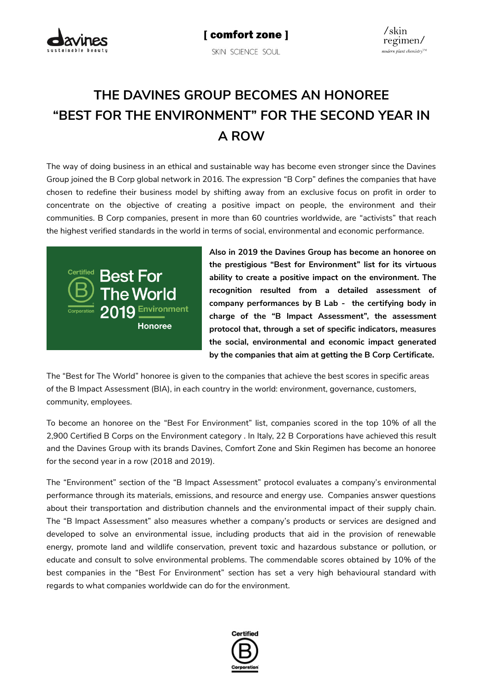

# **THE DAVINES GROUP BECOMES AN HONOREE "BEST FOR THE ENVIRONMENT" FOR THE SECOND YEAR IN A ROW**

The way of doing business in an ethical and sustainable way has become even stronger since the Davines Group joined the B Corp global network in 2016. The expression "B Corp" defines the companies that have chosen to redefine their business model by shifting away from an exclusive focus on profit in order to concentrate on the objective of creating a positive impact on people, the environment and their communities. B Corp companies, present in more than 60 countries worldwide, are "activists" that reach the highest verified standards in the world in terms of social, environmental and economic performance.



**Also in 2019 the Davines Group has become an honoree on the prestigious "Best for Environment" list for its virtuous ability to create a positive impact on the environment. The recognition resulted from a detailed assessment of company performances by B Lab - the certifying body in charge of the "B Impact Assessment", the assessment protocol that, through a set of specific indicators, measures the social, environmental and economic impact generated by the companies that aim at getting the B Corp Certificate.** 

The "Best for The World" honoree is given to the companies that achieve the best scores in specific areas of the B Impact Assessment (BIA), in each country in the world: environment, governance, customers, community, employees.

To become an honoree on the "Best For Environment" list, companies scored in the top 10% of all the 2,900 Certified B Corps on the Environment category . In Italy, 22 B Corporations have achieved this result and the Davines Group with its brands Davines, Comfort Zone and Skin Regimen has become an honoree for the second year in a row (2018 and 2019).

The "Environment" section of the "B Impact Assessment" protocol evaluates a company's environmental performance through its materials, emissions, and resource and energy use. Companies answer questions about their transportation and distribution channels and the environmental impact of their supply chain. The "B Impact Assessment" also measures whether a company's products or services are designed and developed to solve an environmental issue, including products that aid in the provision of renewable energy, promote land and wildlife conservation, prevent toxic and hazardous substance or pollution, or educate and consult to solve environmental problems. The commendable scores obtained by 10% of the best companies in the "Best For Environment" section has set a very high behavioural standard with regards to what companies worldwide can do for the environment.